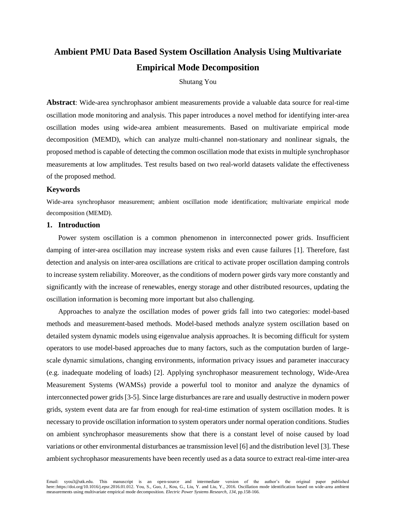# **Ambient PMU Data Based System Oscillation Analysis Using Multivariate Empirical Mode Decomposition**

# Shutang You

**Abstract**: Wide-area synchrophasor ambient measurements provide a valuable data source for real-time oscillation mode monitoring and analysis. This paper introduces a novel method for identifying inter-area oscillation modes using wide-area ambient measurements. Based on multivariate empirical mode decomposition (MEMD), which can analyze multi-channel non-stationary and nonlinear signals, the proposed method is capable of detecting the common oscillation mode that exists in multiple synchrophasor measurements at low amplitudes. Test results based on two real-world datasets validate the effectiveness of the proposed method.

#### **Keywords**

Wide-area synchrophasor measurement; ambient oscillation mode identification; multivariate empirical mode decomposition (MEMD).

#### **1. Introduction**

Power system oscillation is a common phenomenon in interconnected power grids. Insufficient damping of inter-area oscillation may increase system risks and even cause failures [\[1\]](#page-12-0). Therefore, fast detection and analysis on inter-area oscillations are critical to activate proper oscillation damping controls to increase system reliability. Moreover, as the conditions of modern power girds vary more constantly and significantly with the increase of renewables, energy storage and other distributed resources, updating the oscillation information is becoming more important but also challenging.

Approaches to analyze the oscillation modes of power grids fall into two categories: model-based methods and measurement-based methods. Model-based methods analyze system oscillation based on detailed system dynamic models using eigenvalue analysis approaches. It is becoming difficult for system operators to use model-based approaches due to many factors, such as the computation burden of largescale dynamic simulations, changing environments, information privacy issues and parameter inaccuracy (e.g. inadequate modeling of loads) [\[2\]](#page-12-1). Applying synchrophasor measurement technology, Wide-Area Measurement Systems (WAMSs) provide a powerful tool to monitor and analyze the dynamics of interconnected power grids[\[3-5\]](#page-12-2). Since large disturbances are rare and usually destructive in modern power grids, system event data are far from enough for real-time estimation of system oscillation modes. It is necessary to provide oscillation information to system operators under normal operation conditions. Studies on ambient synchrophasor measurements show that there is a constant level of noise caused by load variations or other environmental disturbances ae transmission level [\[6\]](#page-12-3) and the distribution level [\[3\]](#page-12-2). These ambient sychrophasor measurements have been recently used as a data source to extract real-time inter-area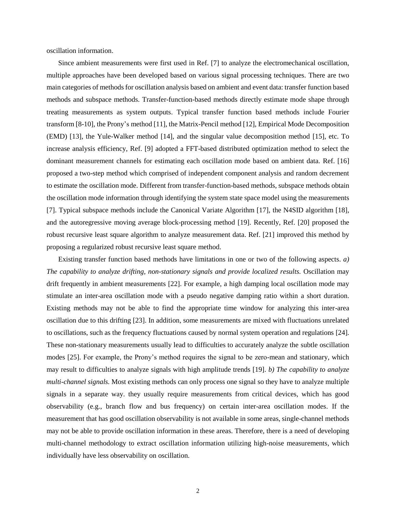oscillation information.

Since ambient measurements were first used in Ref. [\[7\]](#page-12-4) to analyze the electromechanical oscillation, multiple approaches have been developed based on various signal processing techniques. There are two main categories of methods for oscillation analysis based on ambient and event data: transfer function based methods and subspace methods. Transfer-function-based methods directly estimate mode shape through treating measurements as system outputs. Typical transfer function based methods include Fourier transform [\[8-10\]](#page-12-5), the Prony's method [\[11\]](#page-13-0), the Matrix-Pencil method [\[12\]](#page-13-1), Empirical Mode Decomposition (EMD) [\[13\]](#page-13-2), the Yule-Walker method [\[14\]](#page-13-3), and the singular value decomposition method [\[15\]](#page-13-4), etc. To increase analysis efficiency, Ref. [\[9\]](#page-12-6) adopted a FFT-based distributed optimization method to select the dominant measurement channels for estimating each oscillation mode based on ambient data. Ref. [\[16\]](#page-13-5) proposed a two-step method which comprised of independent component analysis and random decrement to estimate the oscillation mode. Different from transfer-function-based methods, subspace methods obtain the oscillation mode information through identifying the system state space model using the measurements [\[7\]](#page-12-4). Typical subspace methods include the Canonical Variate Algorithm [\[17\]](#page-13-6), the N4SID algorithm [\[18\]](#page-13-7), and the autoregressive moving average block-processing method [\[19\]](#page-13-8). Recently, Ref. [\[20\]](#page-13-9) proposed the robust recursive least square algorithm to analyze measurement data. Ref. [\[21\]](#page-13-10) improved this method by proposing a regularized robust recursive least square method.

Existing transfer function based methods have limitations in one or two of the following aspects. *a) The capability to analyze drifting, non-stationary signals and provide localized results.* Oscillation may drift frequently in ambient measurements [\[22\]](#page-13-11). For example, a high damping local oscillation mode may stimulate an inter-area oscillation mode with a pseudo negative damping ratio within a short duration. Existing methods may not be able to find the appropriate time window for analyzing this inter-area oscillation due to this drifting [\[23\]](#page-13-12). In addition, some measurements are mixed with fluctuations unrelated to oscillations, such as the frequency fluctuations caused by normal system operation and regulations [\[24\]](#page-13-13). These non-stationary measurements usually lead to difficulties to accurately analyze the subtle oscillation modes [\[25\]](#page-13-14). For example, the Prony's method requires the signal to be zero-mean and stationary, which may result to difficulties to analyze signals with high amplitude trends [\[19\]](#page-13-8). *b) The capability to analyze multi-channel signals.* Most existing methods can only process one signal so they have to analyze multiple signals in a separate way. they usually require measurements from critical devices, which has good observability (e.g., branch flow and bus frequency) on certain inter-area oscillation modes. If the measurement that has good oscillation observability is not available in some areas, single-channel methods may not be able to provide oscillation information in these areas. Therefore, there is a need of developing multi-channel methodology to extract oscillation information utilizing high-noise measurements, which individually have less observability on oscillation.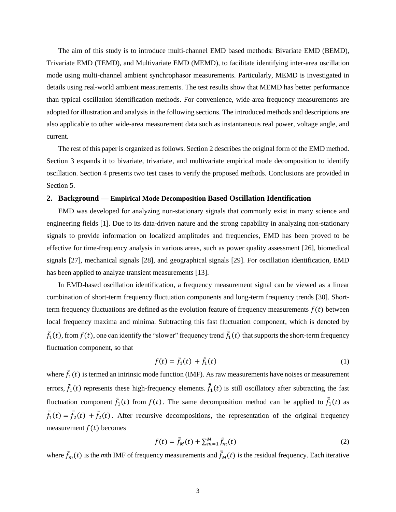The aim of this study is to introduce multi-channel EMD based methods: Bivariate EMD (BEMD), Trivariate EMD (TEMD), and Multivariate EMD (MEMD), to facilitate identifying inter-area oscillation mode using multi-channel ambient synchrophasor measurements. Particularly, MEMD is investigated in details using real-world ambient measurements. The test results show that MEMD has better performance than typical oscillation identification methods. For convenience, wide-area frequency measurements are adopted for illustration and analysis in the following sections. The introduced methods and descriptions are also applicable to other wide-area measurement data such as instantaneous real power, voltage angle, and current.

The rest of this paper is organized as follows. Section 2 describes the original form of the EMD method. Section 3 expands it to bivariate, trivariate, and multivariate empirical mode decomposition to identify oscillation. Section 4 presents two test cases to verify the proposed methods. Conclusions are provided in Section 5.

#### **2. Background — Empirical Mode Decomposition Based Oscillation Identification**

EMD was developed for analyzing non-stationary signals that commonly exist in many science and engineering fields [1]. Due to its data-driven nature and the strong capability in analyzing non-stationary signals to provide information on localized amplitudes and frequencies, EMD has been proved to be effective for time-frequency analysis in various areas, such as power quality assessment [\[26\]](#page-13-15), biomedical signals [\[27\]](#page-13-16), mechanical signals [\[28\]](#page-13-17), and geographical signals [\[29\]](#page-13-18). For oscillation identification, EMD has been applied to analyze transient measurements [\[13\]](#page-13-2).

In EMD-based oscillation identification, a frequency measurement signal can be viewed as a linear combination of short-term frequency fluctuation components and long-term frequency trends [\[30\]](#page-13-19). Shortterm frequency fluctuations are defined as the evolution feature of frequency measurements  $f(t)$  between local frequency maxima and minima. Subtracting this fast fluctuation component, which is denoted by  $\tilde{f}_1(t)$ , from  $f(t)$ , one can identify the "slower" frequency trend  $\bar{f}_1(t)$  that supports the short-term frequency fluctuation component, so that

$$
f(t) = \bar{f}_1(t) + \tilde{f}_1(t)
$$
 (1)

where  $\tilde{f}_1(t)$  is termed an intrinsic mode function (IMF). As raw measurements have noises or measurement errors,  $\tilde{f}_1(t)$  represents these high-frequency elements.  $\bar{f}_1(t)$  is still oscillatory after subtracting the fast fluctuation component  $\tilde{f}_1(t)$  from  $f(t)$ . The same decomposition method can be applied to  $\bar{f}_1(t)$  as  $\bar{f}_1(t) = \bar{f}_2(t) + \tilde{f}_2(t)$ . After recursive decompositions, the representation of the original frequency measurement  $f(t)$  becomes

$$
f(t) = \bar{f}_M(t) + \sum_{m=1}^{M} \tilde{f}_m(t)
$$
 (2)

where  $\tilde{f}_m(t)$  is the *m*th IMF of frequency measurements and  $\bar{f}_M(t)$  is the residual frequency. Each iterative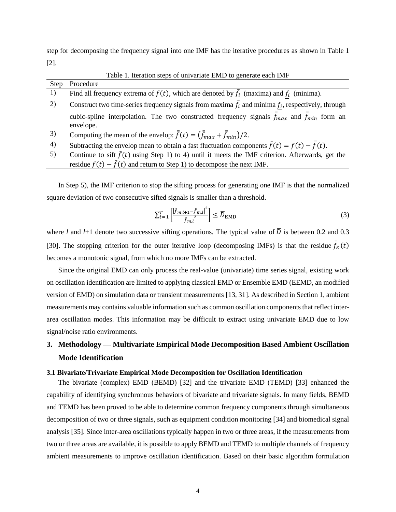step for decomposing the frequency signal into one IMF has the iterative procedures as shown in [Table 1](#page-3-0) [2].

<span id="page-3-0"></span>

| Table 1. Iteration steps of univariate EMD to generate each IMF |                                                                                                                            |  |  |
|-----------------------------------------------------------------|----------------------------------------------------------------------------------------------------------------------------|--|--|
| Step                                                            | Procedure                                                                                                                  |  |  |
| 1)                                                              | Find all frequency extrema of $f(t)$ , which are denoted by $f_i$ (maxima) and $f_i$ (minima).                             |  |  |
| 2)                                                              | Construct two time-series frequency signals from maxima $\bar{f}_i$ and minima $f_i$ , respectively, through               |  |  |
|                                                                 | cubic-spline interpolation. The two constructed frequency signals $\bar{f}_{max}$ and $\bar{f}_{min}$ form an<br>envelope. |  |  |
| 3)                                                              | Computing the mean of the envelop: $\bar{f}(t) = (\bar{f}_{max} + \bar{f}_{min})/2$ .                                      |  |  |
| 4)                                                              | Subtracting the envelop mean to obtain a fast fluctuation components $\tilde{f}(t) = f(t) - \bar{f}(t)$ .                  |  |  |
| 5)                                                              | Continue to sift $\tilde{f}(t)$ using Step 1) to 4) until it meets the IMF criterion. Afterwards, get the                  |  |  |
|                                                                 | residue $f(t) - \tilde{f}(t)$ and return to Step 1) to decompose the next IMF.                                             |  |  |

In Step 5), the IMF criterion to stop the sifting process for generating one IMF is that the normalized square deviation of two consecutive sifted signals is smaller than a threshold.

$$
\sum_{t=1}^{T} \left[ \frac{\left| \tilde{f}_{m,l+1} - \tilde{f}_{m,l} \right|^2}{\tilde{f}_{m,l}^2} \right] \le \overline{D}_{\text{EMD}} \tag{3}
$$

where *l* and *l*+1 denote two successive sifting operations. The typical value of  $\overline{D}$  is between 0.2 and 0.3 [\[30\]](#page-13-19). The stopping criterion for the outer iterative loop (decomposing IMFs) is that the residue  $\bar{f}_K(t)$ becomes a monotonic signal, from which no more IMFs can be extracted.

Since the original EMD can only process the real-value (univariate) time series signal, existing work on oscillation identification are limited to applying classical EMD or Ensemble EMD (EEMD, an modified version of EMD) on simulation data or transient measurements [\[13,](#page-13-2) [31\]](#page-13-20). As described in Section 1, ambient measurements may contains valuable information such as common oscillation components that reflect interarea oscillation modes. This information may be difficult to extract using univariate EMD due to low signal/noise ratio environments.

# **3. Methodology — Multivariate Empirical Mode Decomposition Based Ambient Oscillation Mode Identification**

#### **3.1 Bivariate/Trivariate Empirical Mode Decomposition for Oscillation Identification**

The bivariate (complex) EMD (BEMD) [\[32\]](#page-13-21) and the trivariate EMD (TEMD) [\[33\]](#page-13-22) enhanced the capability of identifying synchronous behaviors of bivariate and trivariate signals. In many fields, BEMD and TEMD has been proved to be able to determine common frequency components through simultaneous decomposition of two or three signals, such as equipment condition monitoring [\[34\]](#page-13-23) and biomedical signal analysis [\[35\]](#page-13-24). Since inter-area oscillations typically happen in two or three areas, if the measurements from two or three areas are available, it is possible to apply BEMD and TEMD to multiple channels of frequency ambient measurements to improve oscillation identification. Based on their basic algorithm formulation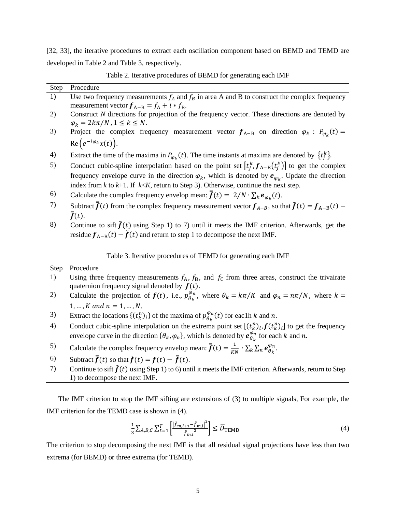[\[32,](#page-13-21) [33\]](#page-13-22), the iterative procedures to extract each oscillation component based on BEMD and TEMD are developed in [Table 2](#page-4-0) and [Table 3,](#page-4-1) respectively.

Table 2. Iterative procedures of BEMD for generating each IMF

<span id="page-4-0"></span>

| <b>Step</b> | Procedure                                                                                                           |
|-------------|---------------------------------------------------------------------------------------------------------------------|
| 1)          | Use two frequency measurements $f_A$ and $f_B$ in area A and B to construct the complex frequency                   |
|             | measurement vector $f_{A-B} = f_A + i * f_B$ .                                                                      |
| 2)          | Construct $N$ directions for projection of the frequency vector. These directions are denoted by                    |
|             | $\varphi_k = 2k\pi/N$ , $1 \leq k \leq N$ .                                                                         |
| 3)          | Project the complex frequency measurement vector $f_{A-B}$ on direction $\varphi_k : P_{\varphi_k}(t) =$            |
|             | $\text{Re}\left(e^{-i\varphi_k}x(t)\right).$                                                                        |
| 4)          | Extract the time of the maxima in $P_{\varphi_k}(t)$ . The time instants at maxima are denoted by $\{t_i^k\}$ .     |
| 5)          | Conduct cubic-spline interpolation based on the point set $[t_i^k, f_{A-B}(t_i^k)]$ to get the complex              |
|             | frequency envelope curve in the direction $\varphi_k$ , which is denoted by $e_{\varphi_k}$ . Update the direction  |
|             | index from k to k+1. If $k < K$ , return to Step 3). Otherwise, continue the next step.                             |
| 6)          | Calculate the complex frequency envelop mean: $\bar{f}(t) = 2/N \cdot \sum_{k} e_{\varphi_k}(t)$ .                  |
| 7)          | Subtract $\vec{f}(t)$ from the complex frequency measurement vector $f_{A-B}$ , so that $\vec{f}(t) = f_{A-B}(t)$ – |
|             | $\bar{f}(t)$ .                                                                                                      |
| 8)          | Continue to sift $\tilde{f}(t)$ using Step 1) to 7) until it meets the IMF criterion. Afterwards, get the           |
|             | residue $f_{A-B}(t) - \tilde{f}(t)$ and return to step 1 to decompose the next IMF.                                 |

Table 3. Iterative procedures of TEMD for generating each IMF

<span id="page-4-1"></span>

| Step | Procedure                                                                                                                                                                                                                                  |
|------|--------------------------------------------------------------------------------------------------------------------------------------------------------------------------------------------------------------------------------------------|
| 1)   | Using three frequency measurements $f_A$ , $f_B$ , and $f_C$ from three areas, construct the trivairate                                                                                                                                    |
|      | quaternion frequency signal denoted by $f(t)$ .                                                                                                                                                                                            |
| 2)   | Calculate the projection of $f(t)$ , i.e., $p_{\theta_k}^{\varphi_n}$ , where $\theta_k = k\pi/K$ and $\varphi_n = n\pi/N$ , where $k =$                                                                                                   |
|      | $1, , K$ and $n = 1, , N$ .                                                                                                                                                                                                                |
| 3)   | Extract the locations $\{(t_k^n)_i\}$ of the maxima of $p_{\theta_k}^{\varphi_n}(t)$ for eac1h k and n.                                                                                                                                    |
| 4)   | Conduct cubic-spline interpolation on the extrema point set $[(t_k^n)_i, f(t_k^n)_i]$ to get the frequency<br>envelope curve in the direction $\{\theta_k, \varphi_n\}$ , which is denoted by $e_{\theta_k}^{\varphi_n}$ for each k and n. |
| 5)   | Calculate the complex frequency envelop mean: $\bar{f}(t) = \frac{1}{\nu N} \cdot \sum_{k} \sum_{n} e_{A_n}^{\varphi_n}$ .                                                                                                                 |
| 6)   | Subtract $\bar{f}(t)$ so that $\tilde{f}(t) = f(t) - \bar{f}(t)$ .                                                                                                                                                                         |
| 7)   | Continue to sift $\tilde{f}(t)$ using Step 1) to 6) until it meets the IMF criterion. Afterwards, return to Step                                                                                                                           |
|      | 1) to decompose the next IMF.                                                                                                                                                                                                              |

The IMF criterion to stop the IMF sifting are extensions of (3) to multiple signals, For example, the IMF criterion for the TEMD case is shown in (4).

$$
\frac{1}{3} \sum_{A,B,C} \sum_{t=1}^{T} \left[ \frac{\left| \tilde{f}_{m,l+1} - \tilde{f}_{m,l} \right|^2}{\tilde{f}_{m,l}^2} \right] \le \overline{D}_{\text{TEMD}} \tag{4}
$$

The criterion to stop decomposing the next IMF is that all residual signal projections have less than two extrema (for BEMD) or three extrema (for TEMD).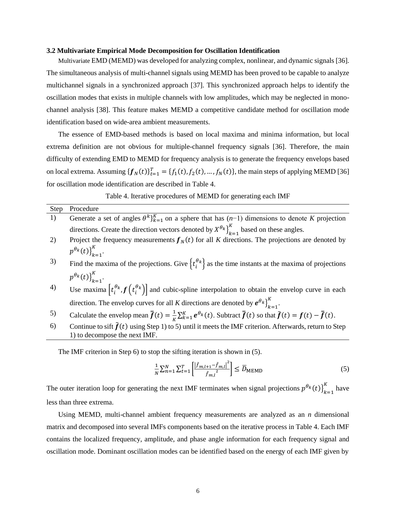#### **3.2 Multivariate Empirical Mode Decomposition for Oscillation Identification**

Multivariate EMD (MEMD) was developed for analyzing complex, nonlinear, and dynamic signals [\[36\]](#page-14-0). The simultaneous analysis of multi-channel signals using MEMD has been proved to be capable to analyze multichannel signals in a synchronized approach [\[37\]](#page-14-1). This synchronized approach helps to identify the oscillation modes that exists in multiple channels with low amplitudes, which may be neglected in monochannel analysis [\[38\]](#page-14-2). This feature makes MEMD a competitive candidate method for oscillation mode identification based on wide-area ambient measurements.

The essence of EMD-based methods is based on local maxima and minima information, but local extrema definition are not obvious for multiple-channel frequency signals [\[36\]](#page-14-0). Therefore, the main difficulty of extending EMD to MEMD for frequency analysis is to generate the frequency envelops based on local extrema. Assuming  $\{f_N(t)\}_{t=1}^T = \{f_1(t), f_2(t), ..., f_N(t)\}\$ , the main steps of applying MEMD [\[36\]](#page-14-0) for oscillation mode identification are described in [Table 4.](#page-5-0)

Table 4. Iterative procedures of MEMD for generating each IMF

<span id="page-5-0"></span>

| <b>Step</b> | Procedure                                                                                                                                                                        |
|-------------|----------------------------------------------------------------------------------------------------------------------------------------------------------------------------------|
| 1)          | Generate a set of angles $\theta^k$ <sub>k=1</sub> on a sphere that has $(n-1)$ dimensions to denote K projection                                                                |
|             | directions. Create the direction vectors denoted by $X^{\theta_k}$ <sub>k=1</sub> based on these angles.                                                                         |
| 2)          | Project the frequency measurements $f_N(t)$ for all K directions. The projections are denoted by                                                                                 |
|             | $p^{\theta_k}(t) \}_{k=1}^K$ .                                                                                                                                                   |
| 3)          | Find the maxima of the projections. Give $\{t_i^{\theta_k}\}\$ as the time instants at the maxima of projections                                                                 |
|             | $p^{\theta_k}(t) \}_{k=1}^K$ .                                                                                                                                                   |
| 4)          | Use maxima $[t_i^{\theta_k}, f(t_i^{\theta_k})]$ and cubic-spline interpolation to obtain the envelop curve in each                                                              |
|             | direction. The envelop curves for all K directions are denoted by $e^{\theta_k}\Big]_{k=1}^K$ .                                                                                  |
| 5)          | Calculate the envelop mean $\bar{\bar{f}}(t) = \frac{1}{\kappa} \sum_{k=1}^{K} e^{\theta_k}(t)$ . Subtract $\bar{\bar{f}}(t)$ so that $\tilde{f}(t) = f(t) - \bar{\bar{f}}(t)$ . |
| 6)          | Continue to sift $f(t)$ using Step 1) to 5) until it meets the IMF criterion. Afterwards, return to Step<br>1) to decompose the next IMF.                                        |

The IMF criterion in Step 6) to stop the sifting iteration is shown in (5).

$$
\frac{1}{N} \sum_{n=1}^{N} \sum_{t=1}^{T} \left[ \frac{|\tilde{f}_{m,l+1} - \tilde{f}_{m,l}|^2}{\tilde{f}_{m,l}^2} \right] \le \overline{D}_{\text{MEMD}} \tag{5}
$$

The outer iteration loop for generating the next IMF terminates when signal projections  $p^{\theta_k}(t)$ <sup>R</sup><sub> $k=1$ </sub>  $\frac{K}{h}$  have less than three extrema.

Using MEMD, multi-channel ambient frequency measurements are analyzed as an *n* dimensional matrix and decomposed into several IMFs components based on the iterative process i[n Table 4.](#page-5-0) Each IMF contains the localized frequency, amplitude, and phase angle information for each frequency signal and oscillation mode. Dominant oscillation modes can be identified based on the energy of each IMF given by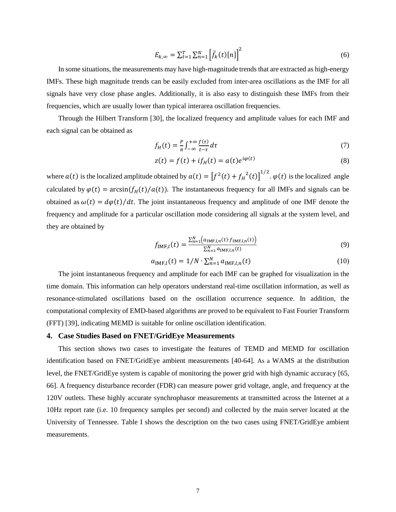$$
E_{k,\infty} = \sum_{t=1}^{T} \sum_{n=1}^{N} \left[ \tilde{f}_k(t)[n] \right]^2
$$
 (6)

In some situations, the measurements may have high-magnitude trends that are extracted as high-energy IMFs. These high magnitude trends can be easily excluded from inter-area oscillations as the IMF for all signals have very close phase angles. Additionally, it is also easy to distinguish these IMFs from their frequencies, which are usually lower than typical interarea oscillation frequencies.

Through the Hilbert Transform [\[30\]](#page-13-19), the localized frequency and amplitude values for each IMF and each signal can be obtained as

$$
f_H(t) = \frac{P}{\pi} \int_{-\infty}^{+\infty} \frac{f(\tau)}{t - \tau} d\tau
$$
 (7)

$$
z(t) = f(t) + if_H(t) = a(t)e^{i\varphi(t)}
$$
\n(8)

where  $a(t)$  is the localized amplitude obtained by  $a(t) = [f^2(t) + f_H^2(t)]^{1/2}$ .  $\varphi(t)$  is the localized angle calculated by  $\varphi(t) = \arcsin(f_H(t)/a(t))$ . The instantaneous frequency for all IMFs and signals can be obtained as  $\omega(t) = d\varphi(t)/dt$ . The joint instantaneous frequency and amplitude of one IMF denote the frequency and amplitude for a particular oscillation mode considering all signals at the system level, and they are obtained by

$$
f_{\text{IMF},l}(t) = \frac{\sum_{n=1}^{N} (a_{\text{IMF},l,n}(t) \cdot f_{\text{IMF},l,n}(t))}{\sum_{n=1}^{N} a_{\text{IMF},l,n}(t)}
$$
(9)

$$
a_{\text{IMF},l}(t) = 1/N \cdot \sum_{n=1}^{N} a_{\text{IMF},l,n}(t)
$$
\n(10)

The joint instantaneous frequency and amplitude for each IMF can be graphed for visualization in the time domain. This information can help operators understand real-time oscillation information, as well as resonance-stimulated oscillations based on the oscillation occurrence sequence. In addition, the computational complexity of EMD-based algorithms are proved to be equivalent to Fast Fourier Transform (FFT) [\[39\]](#page-14-3), indicating MEMD is suitable for online oscillation identification.

# **4. Case Studies Based on FNET/GridEye Measurements**

This section shows two cases to investigate the features of TEMD and MEMD for oscillation identification based on FNET/GridEye ambient measurements [\[40-64\]](#page-14-4). As a WAMS at the distribution level, the FNET/GridEye system is capable of monitoring the power grid with high dynamic accuracy [\[65,](#page-15-0) [66\]](#page-15-1). A frequency disturbance recorder (FDR) can measure power grid voltage, angle, and frequency at the 120V outlets. These highly accurate synchrophasor measurements at transmitted across the Internet at a 10Hz report rate (i.e. 10 frequency samples per second) and collected by the main server located at the University of Tennessee. Table I shows the description on the two cases using FNET/GridEye ambient measurements.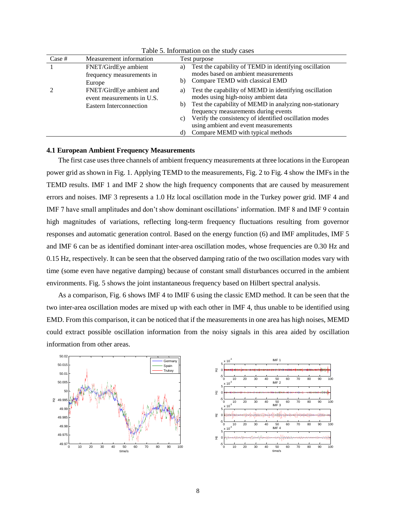| Case # | Measurement information                                |    | Test purpose                                                                                    |
|--------|--------------------------------------------------------|----|-------------------------------------------------------------------------------------------------|
|        | FNET/GirdEye ambient                                   | a) | Test the capability of TEMD in identifying oscillation                                          |
|        | frequency measurements in<br>Europe                    | b) | modes based on ambient measurements<br>Compare TEMD with classical EMD                          |
|        | FNET/GirdEye ambient and<br>event measurements in U.S. | a) | Test the capability of MEMD in identifying oscillation<br>modes using high-noisy ambient data   |
|        | Eastern Interconnection                                | b) | Test the capability of MEMD in analyzing non-stationary<br>frequency measurements during events |
|        |                                                        | C) | Verify the consistency of identified oscillation modes<br>using ambient and event measurements  |
|        |                                                        | d) | Compare MEMD with typical methods                                                               |

Table 5. Information on the study cases

# **4.1 European Ambient Frequency Measurements**

The first case usesthree channels of ambient frequency measurements at three locations in the European power grid as shown in [Fig. 1.](#page-8-0) Applying TEMD to the measurements, [Fig. 2](#page-8-1) to [Fig. 4](#page-8-2) show the IMFs in the TEMD results. IMF 1 and IMF 2 show the high frequency components that are caused by measurement errors and noises. IMF 3 represents a 1.0 Hz local oscillation mode in the Turkey power grid. IMF 4 and IMF 7 have small amplitudes and don't show dominant oscillations' information. IMF 8 and IMF 9 contain high magnitudes of variations, reflecting long-term frequency fluctuations resulting from governor responses and automatic generation control. Based on the energy function (6) and IMF amplitudes, IMF 5 and IMF 6 can be as identified dominant inter-area oscillation modes, whose frequencies are 0.30 Hz and 0.15 Hz, respectively. It can be seen that the observed damping ratio of the two oscillation modes vary with time (some even have negative damping) because of constant small disturbances occurred in the ambient environments. [Fig. 5](#page-8-3) shows the joint instantaneous frequency based on Hilbert spectral analysis.

As a comparison, [Fig. 6](#page-8-4) shows IMF 4 to IMIF 6 using the classic EMD method. It can be seen that the two inter-area oscillation modes are mixed up with each other in IMF 4, thus unable to be identified using EMD. From this comparison, it can be noticed that if the measurements in one area has high noises, MEMD could extract possible oscillation information from the noisy signals in this area aided by oscillation information from other areas.



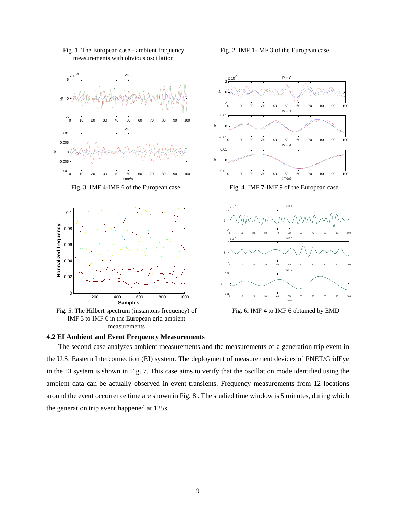

<span id="page-8-0"></span>Fig. 1. The European case - ambient frequency measurements with obvious oscillation



<span id="page-8-3"></span>Fig. 5. The Hilbert spectrum (instantons frequency) of IMF 3 to IMF 6 in the European grid ambient measurements



Fig. 3. IMF 4-IMF 6 of the European case Fig. 4. IMF 7-IMF 9 of the European case

<span id="page-8-2"></span>

<span id="page-8-4"></span>Fig. 6. IMF 4 to IMF 6 obtained by EMD

#### **4.2 EI Ambient and Event Frequency Measurements**

The second case analyzes ambient measurements and the measurements of a generation trip event in the U.S. Eastern Interconnection (EI) system. The deployment of measurement devices of FNET/GridEye in the EI system is shown in [Fig. 7.](#page-9-0) This case aims to verify that the oscillation mode identified using the ambient data can be actually observed in event transients. Frequency measurements from 12 locations around the event occurrence time are shown i[n Fig. 8](#page-9-1) . The studied time window is 5 minutes, during which the generation trip event happened at 125s.

<span id="page-8-1"></span>Fig. 2. IMF 1-IMF 3 of the European case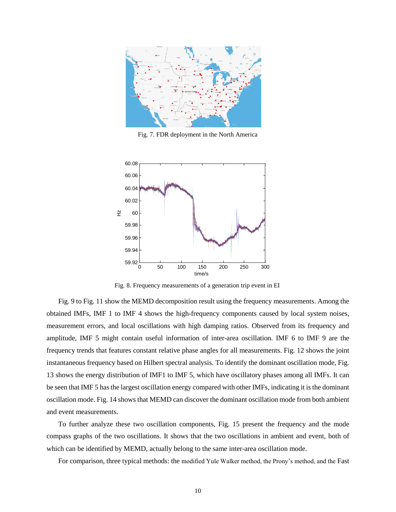

<span id="page-9-0"></span>Fig. 7. FDR deployment in the North America



<span id="page-9-1"></span>Fig. 8. Frequency measurements of a generation trip event in EI

[Fig. 9](#page-10-0) to [Fig. 11](#page-10-1) show the MEMD decomposition result using the frequency measurements. Among the obtained IMFs, IMF 1 to IMF 4 shows the high-frequency components caused by local system noises, measurement errors, and local oscillations with high damping ratios. Observed from its frequency and amplitude, IMF 5 might contain useful information of inter-area oscillation. IMF 6 to IMF 9 are the frequency trends that features constant relative phase angles for all measurements[. Fig. 12](#page-10-2) shows the joint instantaneous frequency based on Hilbert spectral analysis. To identify the dominant oscillation mode[, Fig.](#page-10-3)  [13](#page-10-3) shows the energy distribution of IMF1 to IMF 5, which have oscillatory phases among all IMFs. It can be seen that IMF 5 has the largest oscillation energy compared with other IMFs, indicating it is the dominant oscillation mode[. Fig. 14](#page-10-4) shows that MEMD can discover the dominant oscillation mode from both ambient and event measurements.

To further analyze these two oscillation components, [Fig. 15](#page-11-0) present the frequency and the mode compass graphs of the two oscillations. It shows that the two oscillations in ambient and event, both of which can be identified by MEMD, actually belong to the same inter-area oscillation mode.

For comparison, three typical methods: the modified Yule Walker method, the Prony's method, and the Fast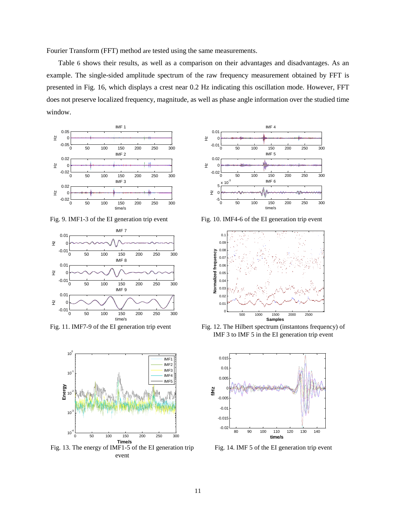Fourier Transform (FFT) method are tested using the same measurements[.](#page-11-1) 

[Table](#page-11-1) 6 shows their results, as well as a comparison on their advantages and disadvantages. As an example. The single-sided amplitude spectrum of the raw frequency measurement obtained by FFT is presented in [Fig. 16,](#page-12-7) which displays a crest near 0.2 Hz indicating this oscillation mode. However, FFT does not preserve localized frequency, magnitude, as well as phase angle information over the studied time window.



<span id="page-10-0"></span>Fig. 9. IMF1-3 of the EI generation trip event Fig. 10. IMF4-6 of the EI generation trip event





<span id="page-10-3"></span>Fig. 13. The energy of IMF1-5 of the EI generation trip event





<span id="page-10-1"></span>Fig. 11. IMF7-9 of the EI generation trip event Fig. 12. The Hilbert spectrum (instantons frequency) of IMF 3 to IMF 5 in the EI generation trip event

<span id="page-10-2"></span>

<span id="page-10-4"></span>Fig. 14. IMF 5 of the EI generation trip event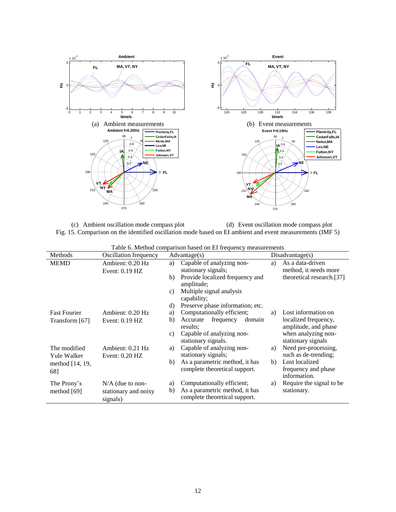

<span id="page-11-0"></span>(c) Ambient oscillation mode compass plot (d) Event oscillation mode compass plot Fig. 15. Comparison on the identified oscillation mode based on EI ambient and event measurements (IMF 5)

<span id="page-11-1"></span>

| Table 6. Method comparison based on El Hequency measurements |                                                        |                                                                                                                 |                                                       |  |  |  |
|--------------------------------------------------------------|--------------------------------------------------------|-----------------------------------------------------------------------------------------------------------------|-------------------------------------------------------|--|--|--|
| Methods                                                      | <b>Oscillation frequency</b>                           | Advantage(s)                                                                                                    | Disadvantage(s)                                       |  |  |  |
| <b>MEMD</b>                                                  | Ambient: 0.20 Hz                                       | Capable of analyzing non-<br>a)<br>a)                                                                           | As a data-driven                                      |  |  |  |
|                                                              | Event: 0.19 HZ                                         | stationary signals;                                                                                             | method, it needs more                                 |  |  |  |
|                                                              |                                                        | Provide localized frequency and<br>b)<br>amplitude;                                                             | theoretical research.[37]                             |  |  |  |
|                                                              |                                                        | Multiple signal analysis<br>c)<br>capability;                                                                   |                                                       |  |  |  |
|                                                              |                                                        | Preserve phase information; etc.<br>d)                                                                          |                                                       |  |  |  |
| <b>Fast Fourier</b>                                          | Ambient: 0.20 Hz                                       | Computationally efficient;<br>a)<br>a)                                                                          | Lost information on                                   |  |  |  |
| Transform [67]                                               | Event: $0.19$ HZ                                       | frequency<br>Accurate<br>domain<br>b)<br>results:                                                               | localized frequency,<br>amplitude, and phase          |  |  |  |
|                                                              |                                                        | Capable of analyzing non-<br>C)<br>stationary signals.                                                          | when analyzing non-<br>stationary signals             |  |  |  |
| The modified<br><b>Yule Walker</b>                           | Ambient: 0.21 Hz<br>Event: $0.20$ HZ                   | Capable of analyzing non-<br>a)<br>a)<br>stationary signals;                                                    | Need pre-processing,<br>such as de-trending;          |  |  |  |
| method [14, 19,<br>68]                                       |                                                        | As a parametric method, it has<br>b)<br>b)<br>complete theoretical support.                                     | Lost localized<br>frequency and phase<br>information. |  |  |  |
| The Prony's<br>method $[69]$                                 | $N/A$ (due to non-<br>stationary and noisy<br>signals) | Computationally efficient;<br>a)<br>a)<br>As a parametric method, it has<br>b)<br>complete theoretical support. | Require the signal to be<br>stationary.               |  |  |  |
|                                                              |                                                        |                                                                                                                 |                                                       |  |  |  |

|  |  |  | Table 6. Method comparison based on EI frequency measurements |
|--|--|--|---------------------------------------------------------------|
|--|--|--|---------------------------------------------------------------|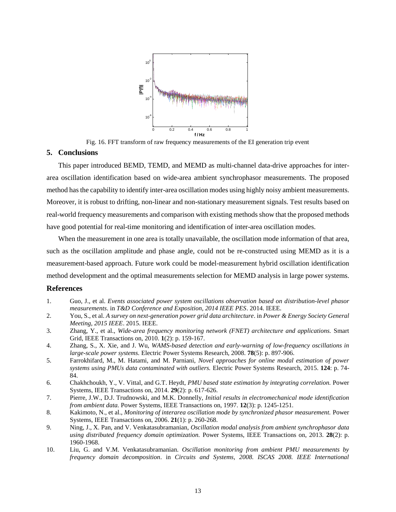

Fig. 16. FFT transform of raw frequency measurements of the EI generation trip event

# <span id="page-12-7"></span>**5. Conclusions**

This paper introduced BEMD, TEMD, and MEMD as multi-channel data-drive approaches for interarea oscillation identification based on wide-area ambient synchrophasor measurements. The proposed method has the capability to identify inter-area oscillation modes using highly noisy ambient measurements. Moreover, it is robust to drifting, non-linear and non-stationary measurement signals. Test results based on real-world frequency measurements and comparison with existing methods show that the proposed methods have good potential for real-time monitoring and identification of inter-area oscillation modes.

When the measurement in one area is totally unavailable, the oscillation mode information of that area, such as the oscillation amplitude and phase angle, could not be re-constructed using MEMD as it is a measurement-based approach. Future work could be model-measurement hybrid oscillation identification method development and the optimal measurements selection for MEMD analysis in large power systems.

# **References**

- <span id="page-12-0"></span>1. Guo, J., et al. *Events associated power system oscillations observation based on distribution-level phasor measurements*. in *T&D Conference and Exposition, 2014 IEEE PES*. 2014. IEEE.
- <span id="page-12-1"></span>2. You, S., et al. *A survey on next-generation power grid data architecture*. in *Power & Energy Society General Meeting, 2015 IEEE*. 2015. IEEE.
- <span id="page-12-2"></span>3. Zhang, Y., et al., *Wide-area frequency monitoring network (FNET) architecture and applications.* Smart Grid, IEEE Transactions on, 2010. **1**(2): p. 159-167.
- 4. Zhang, S., X. Xie, and J. Wu, *WAMS-based detection and early-warning of low-frequency oscillations in large-scale power systems.* Electric Power Systems Research, 2008. **78**(5): p. 897-906.
- 5. Farrokhifard, M., M. Hatami, and M. Parniani, *Novel approaches for online modal estimation of power systems using PMUs data contaminated with outliers.* Electric Power Systems Research, 2015. **124**: p. 74- 84.
- <span id="page-12-3"></span>6. Chakhchoukh, Y., V. Vittal, and G.T. Heydt, *PMU based state estimation by integrating correlation.* Power Systems, IEEE Transactions on, 2014. **29**(2): p. 617-626.
- <span id="page-12-4"></span>7. Pierre, J.W., D.J. Trudnowski, and M.K. Donnelly, *Initial results in electromechanical mode identification from ambient data.* Power Systems, IEEE Transactions on, 1997. **12**(3): p. 1245-1251.
- <span id="page-12-5"></span>8. Kakimoto, N., et al., *Monitoring of interarea oscillation mode by synchronized phasor measurement.* Power Systems, IEEE Transactions on, 2006. **21**(1): p. 260-268.
- <span id="page-12-6"></span>9. Ning, J., X. Pan, and V. Venkatasubramanian, *Oscillation modal analysis from ambient synchrophasor data using distributed frequency domain optimization.* Power Systems, IEEE Transactions on, 2013. **28**(2): p. 1960-1968.
- 10. Liu, G. and V.M. Venkatasubramanian. *Oscillation monitoring from ambient PMU measurements by frequency domain decomposition*. in *Circuits and Systems, 2008. ISCAS 2008. IEEE International*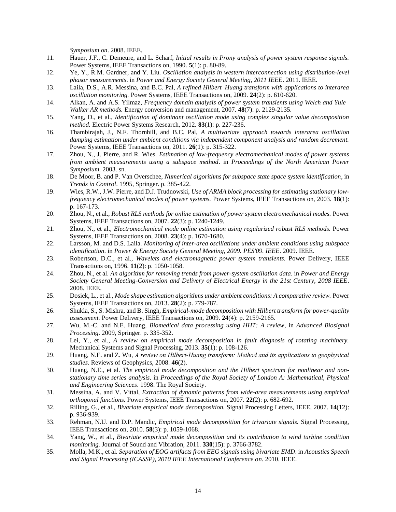*Symposium on*. 2008. IEEE.

- <span id="page-13-0"></span>11. Hauer, J.F., C. Demeure, and L. Scharf, *Initial results in Prony analysis of power system response signals.* Power Systems, IEEE Transactions on, 1990. **5**(1): p. 80-89.
- <span id="page-13-1"></span>12. Ye, Y., R.M. Gardner, and Y. Liu. *Oscillation analysis in western interconnection using distribution-level phasor measurements*. in *Power and Energy Society General Meeting, 2011 IEEE*. 2011. IEEE.
- <span id="page-13-2"></span>13. Laila, D.S., A.R. Messina, and B.C. Pal, *A refined Hilbert–Huang transform with applications to interarea oscillation monitoring.* Power Systems, IEEE Transactions on, 2009. **24**(2): p. 610-620.
- <span id="page-13-3"></span>14. Alkan, A. and A.S. Yilmaz, *Frequency domain analysis of power system transients using Welch and Yule– Walker AR methods.* Energy conversion and management, 2007. **48**(7): p. 2129-2135.
- <span id="page-13-4"></span>15. Yang, D., et al., *Identification of dominant oscillation mode using complex singular value decomposition method.* Electric Power Systems Research, 2012. **83**(1): p. 227-236.
- <span id="page-13-5"></span>16. Thambirajah, J., N.F. Thornhill, and B.C. Pal, *A multivariate approach towards interarea oscillation damping estimation under ambient conditions via independent component analysis and random decrement.* Power Systems, IEEE Transactions on, 2011. **26**(1): p. 315-322.
- <span id="page-13-6"></span>17. Zhou, N., J. Pierre, and R. Wies. *Estimation of low-frequency electromechanical modes of power systems from ambient measurements using a subspace method*. in *Proceedings of the North American Power Symposium*. 2003. sn.
- <span id="page-13-7"></span>18. De Moor, B. and P. Van Overschee, *Numerical algorithms for subspace state space system identification*, in *Trends in Control*. 1995, Springer. p. 385-422.
- <span id="page-13-8"></span>19. Wies, R.W., J.W. Pierre, and D.J. Trudnowski, *Use of ARMA block processing for estimating stationary lowfrequency electromechanical modes of power systems.* Power Systems, IEEE Transactions on, 2003. **18**(1): p. 167-173.
- <span id="page-13-9"></span>20. Zhou, N., et al., *Robust RLS methods for online estimation of power system electromechanical modes.* Power Systems, IEEE Transactions on, 2007. **22**(3): p. 1240-1249.
- <span id="page-13-10"></span>21. Zhou, N., et al., *Electromechanical mode online estimation using regularized robust RLS methods.* Power Systems, IEEE Transactions on, 2008. **23**(4): p. 1670-1680.
- <span id="page-13-11"></span>22. Larsson, M. and D.S. Laila. *Monitoring of inter-area oscillations under ambient conditions using subspace identification*. in *Power & Energy Society General Meeting, 2009. PES'09. IEEE*. 2009. IEEE.
- <span id="page-13-12"></span>23. Robertson, D.C., et al., *Wavelets and electromagnetic power system transients.* Power Delivery, IEEE Transactions on, 1996. **11**(2): p. 1050-1058.
- <span id="page-13-13"></span>24. Zhou, N., et al. *An algorithm for removing trends from power-system oscillation data*. in *Power and Energy Society General Meeting-Conversion and Delivery of Electrical Energy in the 21st Century, 2008 IEEE*. 2008. IEEE.
- <span id="page-13-14"></span>25. Dosiek, L., et al., *Mode shape estimation algorithms under ambient conditions: A comparative review.* Power Systems, IEEE Transactions on, 2013. **28**(2): p. 779-787.
- <span id="page-13-15"></span>26. Shukla, S., S. Mishra, and B. Singh, *Empirical-mode decomposition with Hilbert transform for power-quality assessment.* Power Delivery, IEEE Transactions on, 2009. **24**(4): p. 2159-2165.
- <span id="page-13-16"></span>27. Wu, M.-C. and N.E. Huang, *Biomedical data processing using HHT: A review*, in *Advanced Biosignal Processing*. 2009, Springer. p. 335-352.
- <span id="page-13-17"></span>28. Lei, Y., et al., *A review on empirical mode decomposition in fault diagnosis of rotating machinery.* Mechanical Systems and Signal Processing, 2013. **35**(1): p. 108-126.
- <span id="page-13-18"></span>29. Huang, N.E. and Z. Wu, *A review on Hilbert‐Huang transform: Method and its applications to geophysical studies.* Reviews of Geophysics, 2008. **46**(2).
- <span id="page-13-19"></span>30. Huang, N.E., et al. *The empirical mode decomposition and the Hilbert spectrum for nonlinear and nonstationary time series analysis*. in *Proceedings of the Royal Society of London A: Mathematical, Physical and Engineering Sciences*. 1998. The Royal Society.
- <span id="page-13-20"></span>31. Messina, A. and V. Vittal, *Extraction of dynamic patterns from wide-area measurements using empirical orthogonal functions.* Power Systems, IEEE Transactions on, 2007. **22**(2): p. 682-692.
- <span id="page-13-21"></span>32. Rilling, G., et al., *Bivariate empirical mode decomposition.* Signal Processing Letters, IEEE, 2007. **14**(12): p. 936-939.
- <span id="page-13-22"></span>33. Rehman, N.U. and D.P. Mandic, *Empirical mode decomposition for trivariate signals.* Signal Processing, IEEE Transactions on, 2010. **58**(3): p. 1059-1068.
- <span id="page-13-23"></span>34. Yang, W., et al., *Bivariate empirical mode decomposition and its contribution to wind turbine condition monitoring.* Journal of Sound and Vibration, 2011. **330**(15): p. 3766-3782.
- <span id="page-13-24"></span>35. Molla, M.K., et al. *Separation of EOG artifacts from EEG signals using bivariate EMD*. in *Acoustics Speech and Signal Processing (ICASSP), 2010 IEEE International Conference on*. 2010. IEEE.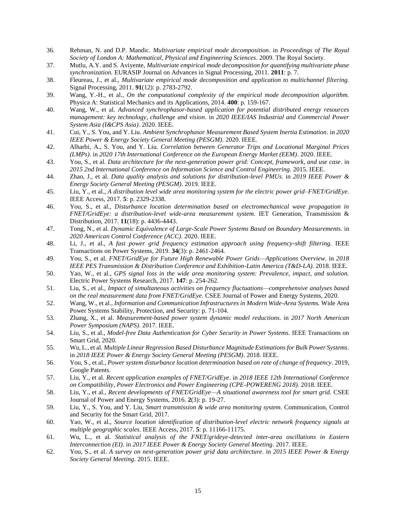- <span id="page-14-0"></span>36. Rehman, N. and D.P. Mandic. *Multivariate empirical mode decomposition*. in *Proceedings of The Royal Society of London A: Mathematical, Physical and Engineering Sciences*. 2009. The Royal Society.
- <span id="page-14-1"></span>37. Mutlu, A.Y. and S. Aviyente, *Multivariate empirical mode decomposition for quantifying multivariate phase synchronization.* EURASIP Journal on Advances in Signal Processing, 2011. **2011**: p. 7.
- <span id="page-14-2"></span>38. Fleureau, J., et al., *Multivariate empirical mode decomposition and application to multichannel filtering.* Signal Processing, 2011. **91**(12): p. 2783-2792.
- <span id="page-14-3"></span>39. Wang, Y.-H., et al., *On the computational complexity of the empirical mode decomposition algorithm.* Physica A: Statistical Mechanics and its Applications, 2014. **400**: p. 159-167.
- <span id="page-14-4"></span>40. Wang, W., et al. *Advanced synchrophasor-based application for potential distributed energy resources management: key technology, challenge and vision*. in *2020 IEEE/IAS Industrial and Commercial Power System Asia (I&CPS Asia)*. 2020. IEEE.
- 41. Cui, Y., S. You, and Y. Liu. *Ambient Synchrophasor Measurement Based System Inertia Estimation*. in *2020 IEEE Power & Energy Society General Meeting (PESGM)*. 2020. IEEE.
- 42. Alharbi, A., S. You, and Y. Liu. *Correlation between Generator Trips and Locational Marginal Prices (LMPs)*. in *2020 17th International Conference on the European Energy Market (EEM)*. 2020. IEEE.
- 43. You, S., et al. *Data architecture for the next-generation power grid: Concept, framework, and use case*. in *2015 2nd International Conference on Information Science and Control Engineering*. 2015. IEEE.
- 44. Zhao, J., et al. *Data quality analysis and solutions for distribution-level PMUs*. in *2019 IEEE Power & Energy Society General Meeting (PESGM)*. 2019. IEEE.
- 45. Liu, Y., et al., *A distribution level wide area monitoring system for the electric power grid–FNET/GridEye.* IEEE Access, 2017. **5**: p. 2329-2338.
- 46. You, S., et al., *Disturbance location determination based on electromechanical wave propagation in FNET/GridEye: a distribution-level wide-area measurement system.* IET Generation, Transmission & Distribution, 2017. **11**(18): p. 4436-4443.
- 47. Tong, N., et al. *Dynamic Equivalence of Large-Scale Power Systems Based on Boundary Measurements*. in *2020 American Control Conference (ACC)*. 2020. IEEE.
- 48. Li, J., et al., *A fast power grid frequency estimation approach using frequency-shift filtering.* IEEE Transactions on Power Systems, 2019. **34**(3): p. 2461-2464.
- 49. You, S., et al. *FNET/GridEye for Future High Renewable Power Grids—Applications Overview*. in *2018 IEEE PES Transmission & Distribution Conference and Exhibition-Latin America (T&D-LA)*. 2018. IEEE.
- 50. Yao, W., et al., *GPS signal loss in the wide area monitoring system: Prevalence, impact, and solution.* Electric Power Systems Research, 2017. **147**: p. 254-262.
- 51. Liu, S., et al., *Impact of simultaneous activities on frequency fluctuations—comprehensive analyses based on the real measurement data from FNET/GridEye.* CSEE Journal of Power and Energy Systems, 2020.
- 52. Wang, W., et al., *Information and Communication Infrastructures in Modern Wide-Area Systems.* Wide Area Power Systems Stability, Protection, and Security: p. 71-104.
- 53. Zhang, X., et al. *Measurement-based power system dynamic model reductions*. in *2017 North American Power Symposium (NAPS)*. 2017. IEEE.
- 54. Liu, S., et al., *Model-free Data Authentication for Cyber Security in Power Systems.* IEEE Transactions on Smart Grid, 2020.
- 55. Wu, L., et al. *Multiple Linear Regression Based Disturbance Magnitude Estimations for Bulk Power Systems*. in *2018 IEEE Power & Energy Society General Meeting (PESGM)*. 2018. IEEE.
- 56. You, S., et al., *Power system disturbance location determination based on rate of change of frequency*. 2019, Google Patents.
- 57. Liu, Y., et al. *Recent application examples of FNET/GridEye*. in *2018 IEEE 12th International Conference on Compatibility, Power Electronics and Power Engineering (CPE-POWERENG 2018)*. 2018. IEEE.
- 58. Liu, Y., et al., *Recent developments of FNET/GridEye—A situational awareness tool for smart grid.* CSEE Journal of Power and Energy Systems, 2016. **2**(3): p. 19-27.
- 59. Liu, Y., S. You, and Y. Liu, *Smart transmission & wide area monitoring system.* Communication, Control and Security for the Smart Grid, 2017.
- 60. Yao, W., et al., *Source location identification of distribution-level electric network frequency signals at multiple geographic scales.* IEEE Access, 2017. **5**: p. 11166-11175.
- 61. Wu, L., et al. *Statistical analysis of the FNET/grideye-detected inter-area oscillations in Eastern Interconnection (EI)*. in *2017 IEEE Power & Energy Society General Meeting*. 2017. IEEE.
- 62. You, S., et al. *A survey on next-generation power grid data architecture*. in *2015 IEEE Power & Energy Society General Meeting*. 2015. IEEE.